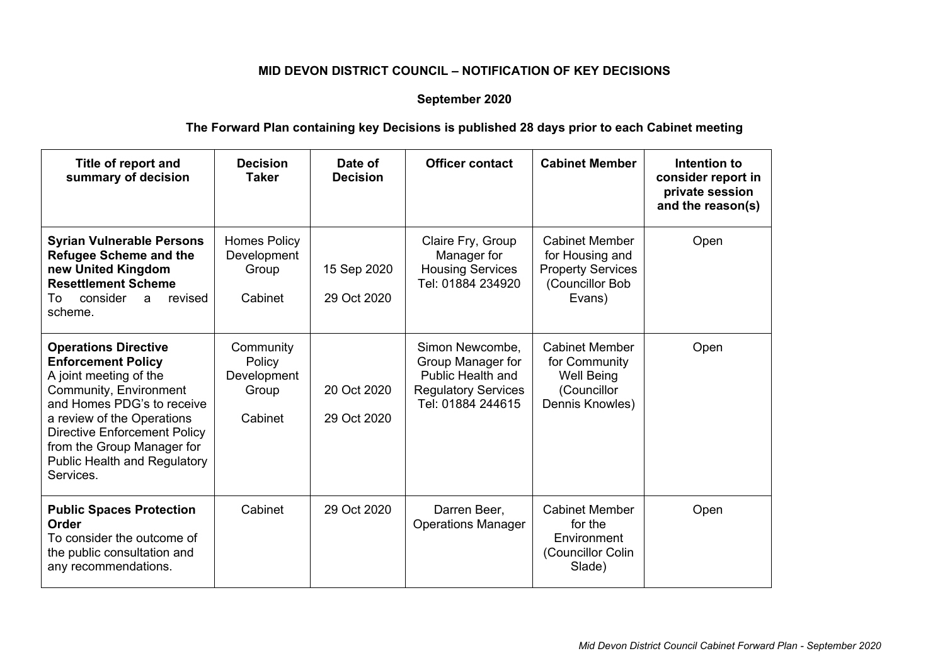## **MID DEVON DISTRICT COUNCIL – NOTIFICATION OF KEY DECISIONS**

## **September 2020**

## **The Forward Plan containing key Decisions is published 28 days prior to each Cabinet meeting**

| Title of report and<br>summary of decision                                                                                                                                                                                                                                                        | <b>Decision</b><br>Taker                               | Date of<br><b>Decision</b> | <b>Officer contact</b>                                                                                              | <b>Cabinet Member</b>                                                                             | Intention to<br>consider report in<br>private session<br>and the reason(s) |
|---------------------------------------------------------------------------------------------------------------------------------------------------------------------------------------------------------------------------------------------------------------------------------------------------|--------------------------------------------------------|----------------------------|---------------------------------------------------------------------------------------------------------------------|---------------------------------------------------------------------------------------------------|----------------------------------------------------------------------------|
| <b>Syrian Vulnerable Persons</b><br><b>Refugee Scheme and the</b><br>new United Kingdom<br><b>Resettlement Scheme</b><br>consider<br>revised<br>To<br>a<br>scheme.                                                                                                                                | <b>Homes Policy</b><br>Development<br>Group<br>Cabinet | 15 Sep 2020<br>29 Oct 2020 | Claire Fry, Group<br>Manager for<br><b>Housing Services</b><br>Tel: 01884 234920                                    | <b>Cabinet Member</b><br>for Housing and<br><b>Property Services</b><br>(Councillor Bob<br>Evans) | Open                                                                       |
| <b>Operations Directive</b><br><b>Enforcement Policy</b><br>A joint meeting of the<br>Community, Environment<br>and Homes PDG's to receive<br>a review of the Operations<br><b>Directive Enforcement Policy</b><br>from the Group Manager for<br><b>Public Health and Regulatory</b><br>Services. | Community<br>Policy<br>Development<br>Group<br>Cabinet | 20 Oct 2020<br>29 Oct 2020 | Simon Newcombe,<br>Group Manager for<br><b>Public Health and</b><br><b>Regulatory Services</b><br>Tel: 01884 244615 | <b>Cabinet Member</b><br>for Community<br><b>Well Being</b><br>(Councillor<br>Dennis Knowles)     | Open                                                                       |
| <b>Public Spaces Protection</b><br>Order<br>To consider the outcome of<br>the public consultation and<br>any recommendations.                                                                                                                                                                     | Cabinet                                                | 29 Oct 2020                | Darren Beer,<br><b>Operations Manager</b>                                                                           | <b>Cabinet Member</b><br>for the<br>Environment<br>(Councillor Colin<br>Slade)                    | Open                                                                       |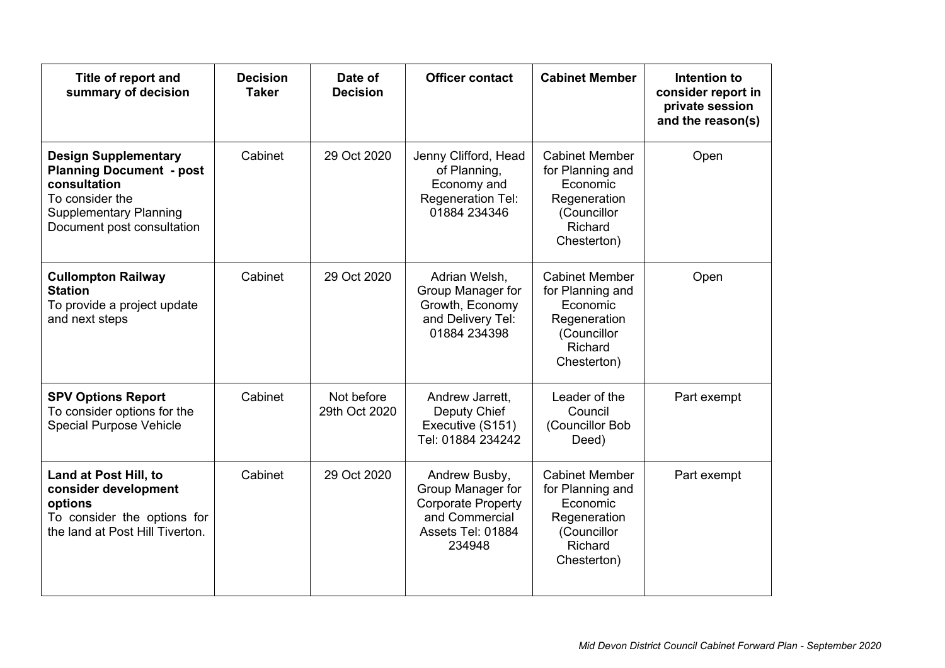| Title of report and<br>summary of decision                                                                                                                       | <b>Decision</b><br><b>Taker</b> | Date of<br><b>Decision</b>  | <b>Officer contact</b>                                                                                           | <b>Cabinet Member</b>                                                                                          | Intention to<br>consider report in<br>private session<br>and the reason(s) |
|------------------------------------------------------------------------------------------------------------------------------------------------------------------|---------------------------------|-----------------------------|------------------------------------------------------------------------------------------------------------------|----------------------------------------------------------------------------------------------------------------|----------------------------------------------------------------------------|
| <b>Design Supplementary</b><br><b>Planning Document - post</b><br>consultation<br>To consider the<br><b>Supplementary Planning</b><br>Document post consultation | Cabinet                         | 29 Oct 2020                 | Jenny Clifford, Head<br>of Planning,<br>Economy and<br>Regeneration Tel:<br>01884 234346                         | <b>Cabinet Member</b><br>for Planning and<br>Economic<br>Regeneration<br>(Councillor<br>Richard<br>Chesterton) | Open                                                                       |
| <b>Cullompton Railway</b><br><b>Station</b><br>To provide a project update<br>and next steps                                                                     | Cabinet                         | 29 Oct 2020                 | Adrian Welsh,<br>Group Manager for<br>Growth, Economy<br>and Delivery Tel:<br>01884 234398                       | <b>Cabinet Member</b><br>for Planning and<br>Economic<br>Regeneration<br>(Councillor<br>Richard<br>Chesterton) | Open                                                                       |
| <b>SPV Options Report</b><br>To consider options for the<br><b>Special Purpose Vehicle</b>                                                                       | Cabinet                         | Not before<br>29th Oct 2020 | Andrew Jarrett,<br>Deputy Chief<br>Executive (S151)<br>Tel: 01884 234242                                         | Leader of the<br>Council<br>(Councillor Bob<br>Deed)                                                           | Part exempt                                                                |
| Land at Post Hill, to<br>consider development<br>options<br>To consider the options for<br>the land at Post Hill Tiverton.                                       | Cabinet                         | 29 Oct 2020                 | Andrew Busby,<br>Group Manager for<br><b>Corporate Property</b><br>and Commercial<br>Assets Tel: 01884<br>234948 | <b>Cabinet Member</b><br>for Planning and<br>Economic<br>Regeneration<br>(Councillor<br>Richard<br>Chesterton) | Part exempt                                                                |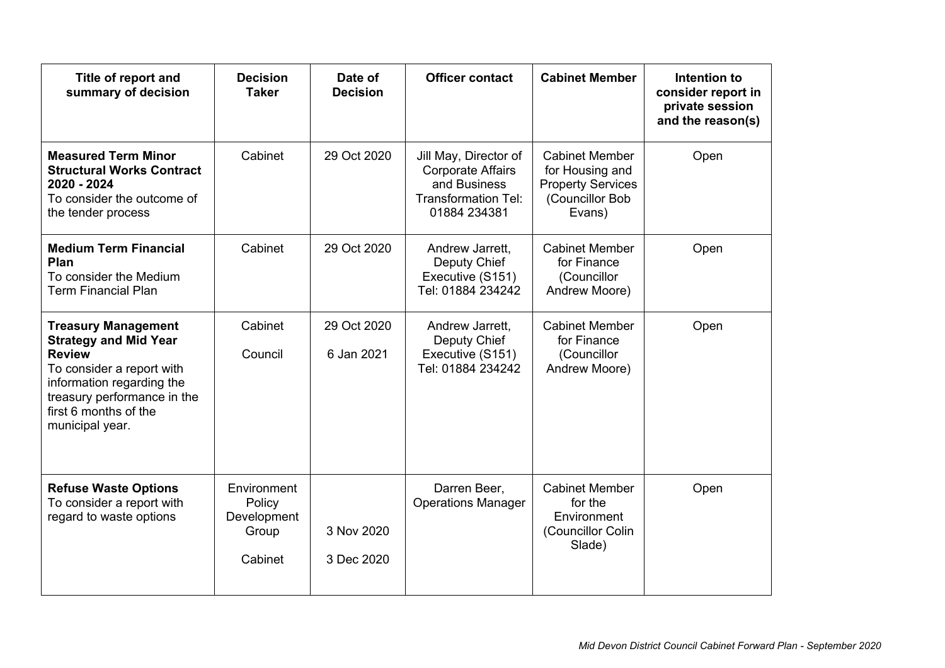| Title of report and<br>summary of decision                                                                                                                                                                       | <b>Decision</b><br><b>Taker</b>                          | Date of<br><b>Decision</b> | <b>Officer contact</b>                                                                                          | <b>Cabinet Member</b>                                                                             | Intention to<br>consider report in<br>private session<br>and the reason(s) |
|------------------------------------------------------------------------------------------------------------------------------------------------------------------------------------------------------------------|----------------------------------------------------------|----------------------------|-----------------------------------------------------------------------------------------------------------------|---------------------------------------------------------------------------------------------------|----------------------------------------------------------------------------|
| <b>Measured Term Minor</b><br><b>Structural Works Contract</b><br>2020 - 2024<br>To consider the outcome of<br>the tender process                                                                                | Cabinet                                                  | 29 Oct 2020                | Jill May, Director of<br><b>Corporate Affairs</b><br>and Business<br><b>Transformation Tel:</b><br>01884 234381 | <b>Cabinet Member</b><br>for Housing and<br><b>Property Services</b><br>(Councillor Bob<br>Evans) | Open                                                                       |
| <b>Medium Term Financial</b><br>Plan<br>To consider the Medium<br><b>Term Financial Plan</b>                                                                                                                     | Cabinet                                                  | 29 Oct 2020                | Andrew Jarrett,<br>Deputy Chief<br>Executive (S151)<br>Tel: 01884 234242                                        | <b>Cabinet Member</b><br>for Finance<br>(Councillor<br>Andrew Moore)                              | Open                                                                       |
| <b>Treasury Management</b><br><b>Strategy and Mid Year</b><br><b>Review</b><br>To consider a report with<br>information regarding the<br>treasury performance in the<br>first 6 months of the<br>municipal year. | Cabinet<br>Council                                       | 29 Oct 2020<br>6 Jan 2021  | Andrew Jarrett,<br>Deputy Chief<br>Executive (S151)<br>Tel: 01884 234242                                        | <b>Cabinet Member</b><br>for Finance<br>(Councillor<br>Andrew Moore)                              | Open                                                                       |
| <b>Refuse Waste Options</b><br>To consider a report with<br>regard to waste options                                                                                                                              | Environment<br>Policy<br>Development<br>Group<br>Cabinet | 3 Nov 2020<br>3 Dec 2020   | Darren Beer,<br><b>Operations Manager</b>                                                                       | <b>Cabinet Member</b><br>for the<br>Environment<br>(Councillor Colin<br>Slade)                    | Open                                                                       |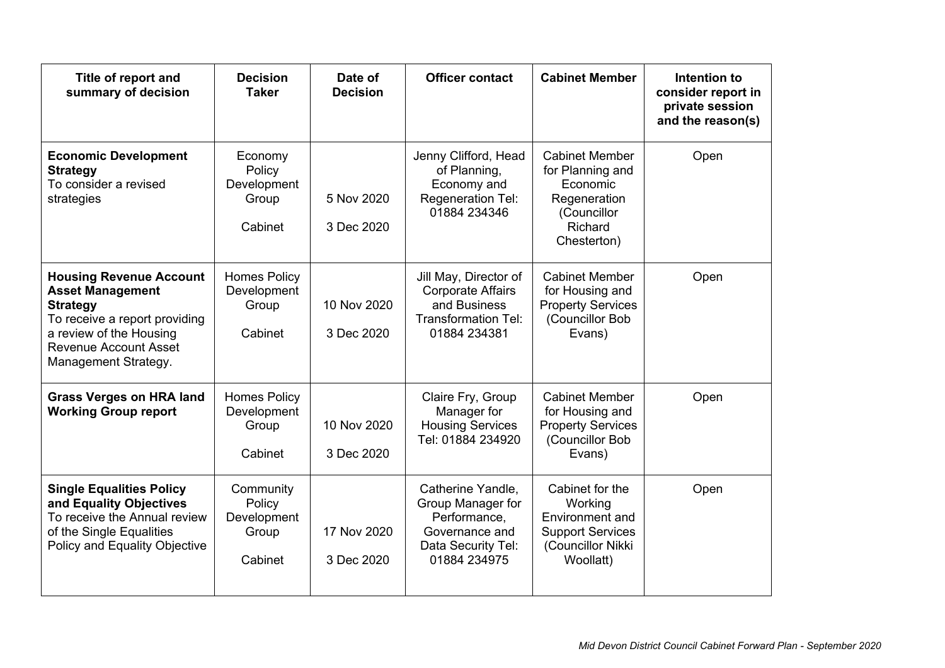| Title of report and<br>summary of decision                                                                                                                                                       | <b>Decision</b><br><b>Taker</b>                        | Date of<br><b>Decision</b> | <b>Officer contact</b>                                                                                          | <b>Cabinet Member</b>                                                                                          | Intention to<br>consider report in<br>private session<br>and the reason(s) |
|--------------------------------------------------------------------------------------------------------------------------------------------------------------------------------------------------|--------------------------------------------------------|----------------------------|-----------------------------------------------------------------------------------------------------------------|----------------------------------------------------------------------------------------------------------------|----------------------------------------------------------------------------|
| <b>Economic Development</b><br><b>Strategy</b><br>To consider a revised<br>strategies                                                                                                            | Economy<br>Policy<br>Development<br>Group<br>Cabinet   | 5 Nov 2020<br>3 Dec 2020   | Jenny Clifford, Head<br>of Planning,<br>Economy and<br>Regeneration Tel:<br>01884 234346                        | <b>Cabinet Member</b><br>for Planning and<br>Economic<br>Regeneration<br>(Councillor<br>Richard<br>Chesterton) | Open                                                                       |
| <b>Housing Revenue Account</b><br><b>Asset Management</b><br><b>Strategy</b><br>To receive a report providing<br>a review of the Housing<br><b>Revenue Account Asset</b><br>Management Strategy. | <b>Homes Policy</b><br>Development<br>Group<br>Cabinet | 10 Nov 2020<br>3 Dec 2020  | Jill May, Director of<br><b>Corporate Affairs</b><br>and Business<br><b>Transformation Tel:</b><br>01884 234381 | <b>Cabinet Member</b><br>for Housing and<br><b>Property Services</b><br>(Councillor Bob<br>Evans)              | Open                                                                       |
| <b>Grass Verges on HRA land</b><br><b>Working Group report</b>                                                                                                                                   | <b>Homes Policy</b><br>Development<br>Group<br>Cabinet | 10 Nov 2020<br>3 Dec 2020  | Claire Fry, Group<br>Manager for<br><b>Housing Services</b><br>Tel: 01884 234920                                | <b>Cabinet Member</b><br>for Housing and<br><b>Property Services</b><br>(Councillor Bob<br>Evans)              | Open                                                                       |
| <b>Single Equalities Policy</b><br>and Equality Objectives<br>To receive the Annual review<br>of the Single Equalities<br>Policy and Equality Objective                                          | Community<br>Policy<br>Development<br>Group<br>Cabinet | 17 Nov 2020<br>3 Dec 2020  | Catherine Yandle,<br>Group Manager for<br>Performance,<br>Governance and<br>Data Security Tel:<br>01884 234975  | Cabinet for the<br>Working<br>Environment and<br><b>Support Services</b><br>(Councillor Nikki<br>Woollatt)     | Open                                                                       |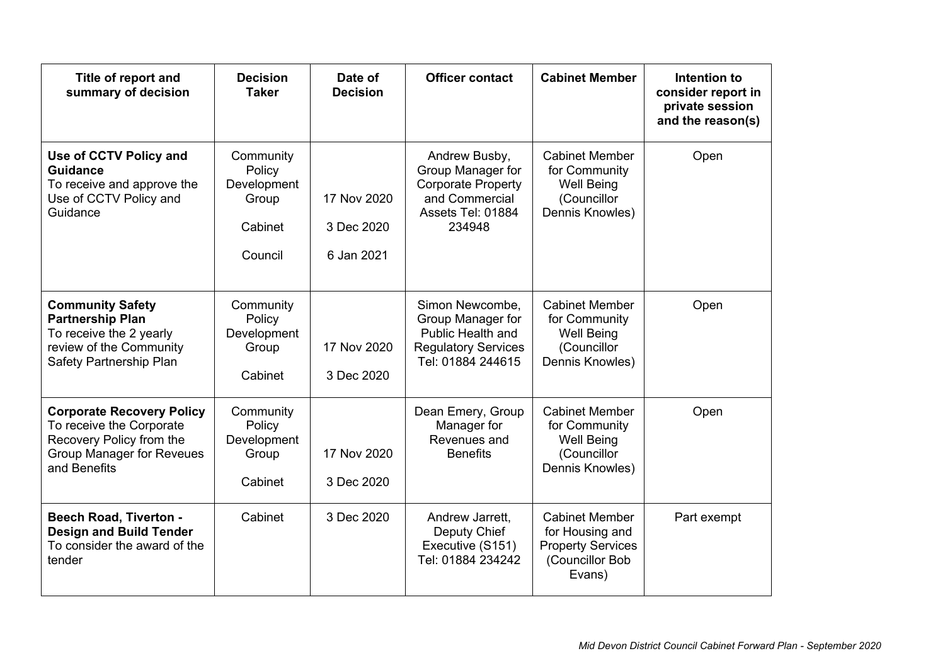| Title of report and<br>summary of decision                                                                                                   | <b>Decision</b><br><b>Taker</b>                                   | Date of<br><b>Decision</b>              | <b>Officer contact</b>                                                                                           | <b>Cabinet Member</b>                                                                             | Intention to<br>consider report in<br>private session<br>and the reason(s) |
|----------------------------------------------------------------------------------------------------------------------------------------------|-------------------------------------------------------------------|-----------------------------------------|------------------------------------------------------------------------------------------------------------------|---------------------------------------------------------------------------------------------------|----------------------------------------------------------------------------|
| Use of CCTV Policy and<br><b>Guidance</b><br>To receive and approve the<br>Use of CCTV Policy and<br>Guidance                                | Community<br>Policy<br>Development<br>Group<br>Cabinet<br>Council | 17 Nov 2020<br>3 Dec 2020<br>6 Jan 2021 | Andrew Busby,<br>Group Manager for<br><b>Corporate Property</b><br>and Commercial<br>Assets Tel: 01884<br>234948 | <b>Cabinet Member</b><br>for Community<br><b>Well Being</b><br>(Councillor<br>Dennis Knowles)     | Open                                                                       |
| <b>Community Safety</b><br><b>Partnership Plan</b><br>To receive the 2 yearly<br>review of the Community<br>Safety Partnership Plan          | Community<br>Policy<br>Development<br>Group<br>Cabinet            | 17 Nov 2020<br>3 Dec 2020               | Simon Newcombe,<br>Group Manager for<br>Public Health and<br><b>Regulatory Services</b><br>Tel: 01884 244615     | <b>Cabinet Member</b><br>for Community<br><b>Well Being</b><br>(Councillor<br>Dennis Knowles)     | Open                                                                       |
| <b>Corporate Recovery Policy</b><br>To receive the Corporate<br>Recovery Policy from the<br><b>Group Manager for Reveues</b><br>and Benefits | Community<br>Policy<br>Development<br>Group<br>Cabinet            | 17 Nov 2020<br>3 Dec 2020               | Dean Emery, Group<br>Manager for<br>Revenues and<br><b>Benefits</b>                                              | <b>Cabinet Member</b><br>for Community<br><b>Well Being</b><br>(Councillor<br>Dennis Knowles)     | Open                                                                       |
| <b>Beech Road, Tiverton -</b><br><b>Design and Build Tender</b><br>To consider the award of the<br>tender                                    | Cabinet                                                           | 3 Dec 2020                              | Andrew Jarrett,<br>Deputy Chief<br>Executive (S151)<br>Tel: 01884 234242                                         | <b>Cabinet Member</b><br>for Housing and<br><b>Property Services</b><br>(Councillor Bob<br>Evans) | Part exempt                                                                |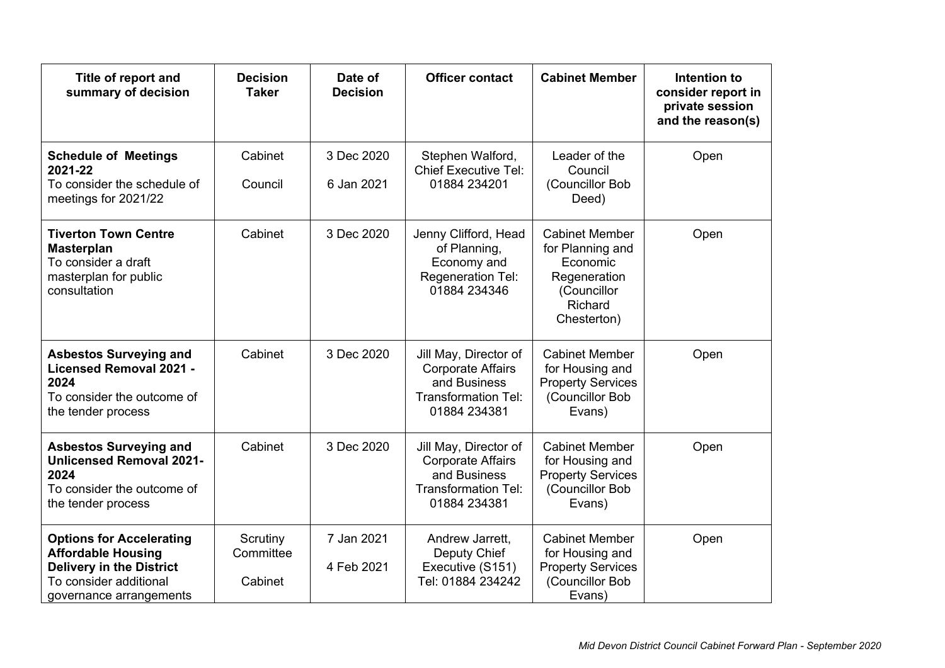| Title of report and<br>summary of decision                                                                                                           | <b>Decision</b><br><b>Taker</b>  | Date of<br><b>Decision</b> | <b>Officer contact</b>                                                                                          | <b>Cabinet Member</b>                                                                                          | Intention to<br>consider report in<br>private session<br>and the reason(s) |
|------------------------------------------------------------------------------------------------------------------------------------------------------|----------------------------------|----------------------------|-----------------------------------------------------------------------------------------------------------------|----------------------------------------------------------------------------------------------------------------|----------------------------------------------------------------------------|
| <b>Schedule of Meetings</b><br>2021-22<br>To consider the schedule of<br>meetings for 2021/22                                                        | Cabinet<br>Council               | 3 Dec 2020<br>6 Jan 2021   | Stephen Walford,<br><b>Chief Executive Tel:</b><br>01884 234201                                                 | Leader of the<br>Council<br>(Councillor Bob<br>Deed)                                                           | Open                                                                       |
| <b>Tiverton Town Centre</b><br><b>Masterplan</b><br>To consider a draft<br>masterplan for public<br>consultation                                     | Cabinet                          | 3 Dec 2020                 | Jenny Clifford, Head<br>of Planning,<br>Economy and<br>Regeneration Tel:<br>01884 234346                        | <b>Cabinet Member</b><br>for Planning and<br>Economic<br>Regeneration<br>(Councillor<br>Richard<br>Chesterton) | Open                                                                       |
| <b>Asbestos Surveying and</b><br><b>Licensed Removal 2021 -</b><br>2024<br>To consider the outcome of<br>the tender process                          | Cabinet                          | 3 Dec 2020                 | Jill May, Director of<br><b>Corporate Affairs</b><br>and Business<br><b>Transformation Tel:</b><br>01884 234381 | <b>Cabinet Member</b><br>for Housing and<br><b>Property Services</b><br>(Councillor Bob<br>Evans)              | Open                                                                       |
| <b>Asbestos Surveying and</b><br><b>Unlicensed Removal 2021-</b><br>2024<br>To consider the outcome of<br>the tender process                         | Cabinet                          | 3 Dec 2020                 | Jill May, Director of<br><b>Corporate Affairs</b><br>and Business<br><b>Transformation Tel:</b><br>01884 234381 | <b>Cabinet Member</b><br>for Housing and<br><b>Property Services</b><br>(Councillor Bob<br>Evans)              | Open                                                                       |
| <b>Options for Accelerating</b><br><b>Affordable Housing</b><br><b>Delivery in the District</b><br>To consider additional<br>governance arrangements | Scrutiny<br>Committee<br>Cabinet | 7 Jan 2021<br>4 Feb 2021   | Andrew Jarrett,<br>Deputy Chief<br>Executive (S151)<br>Tel: 01884 234242                                        | <b>Cabinet Member</b><br>for Housing and<br><b>Property Services</b><br>(Councillor Bob<br>Evans)              | Open                                                                       |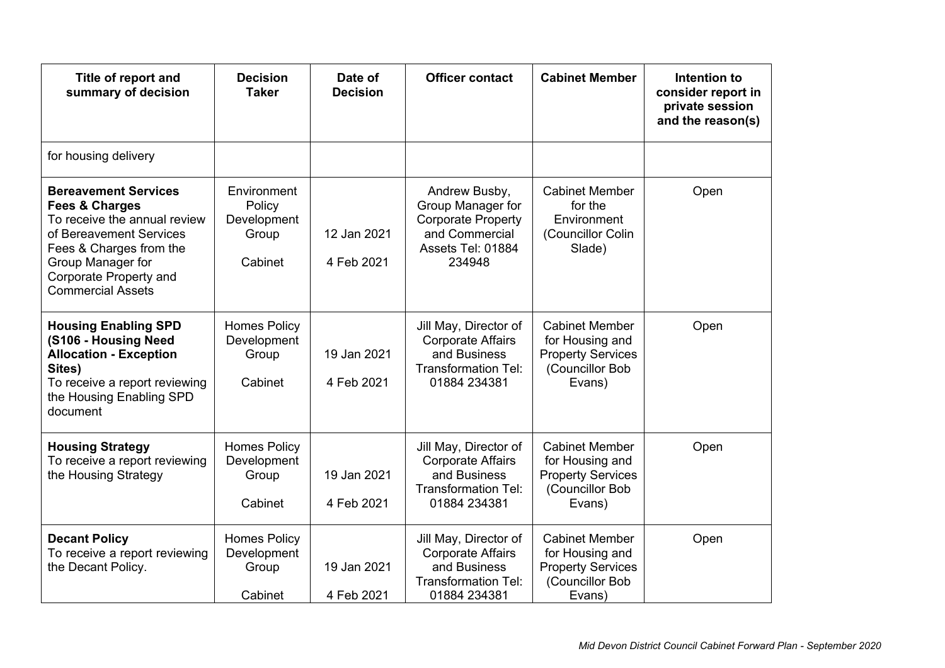| Title of report and<br>summary of decision                                                                                                                                                                                | <b>Decision</b><br><b>Taker</b>                          | Date of<br><b>Decision</b> | <b>Officer contact</b>                                                                                           | <b>Cabinet Member</b>                                                                             | Intention to<br>consider report in<br>private session<br>and the reason(s) |
|---------------------------------------------------------------------------------------------------------------------------------------------------------------------------------------------------------------------------|----------------------------------------------------------|----------------------------|------------------------------------------------------------------------------------------------------------------|---------------------------------------------------------------------------------------------------|----------------------------------------------------------------------------|
| for housing delivery                                                                                                                                                                                                      |                                                          |                            |                                                                                                                  |                                                                                                   |                                                                            |
| <b>Bereavement Services</b><br><b>Fees &amp; Charges</b><br>To receive the annual review<br>of Bereavement Services<br>Fees & Charges from the<br>Group Manager for<br>Corporate Property and<br><b>Commercial Assets</b> | Environment<br>Policy<br>Development<br>Group<br>Cabinet | 12 Jan 2021<br>4 Feb 2021  | Andrew Busby,<br>Group Manager for<br><b>Corporate Property</b><br>and Commercial<br>Assets Tel: 01884<br>234948 | <b>Cabinet Member</b><br>for the<br>Environment<br>(Councillor Colin<br>Slade)                    | Open                                                                       |
| <b>Housing Enabling SPD</b><br>(S106 - Housing Need<br><b>Allocation - Exception</b><br>Sites)<br>To receive a report reviewing<br>the Housing Enabling SPD<br>document                                                   | <b>Homes Policy</b><br>Development<br>Group<br>Cabinet   | 19 Jan 2021<br>4 Feb 2021  | Jill May, Director of<br><b>Corporate Affairs</b><br>and Business<br><b>Transformation Tel:</b><br>01884 234381  | <b>Cabinet Member</b><br>for Housing and<br><b>Property Services</b><br>(Councillor Bob<br>Evans) | Open                                                                       |
| <b>Housing Strategy</b><br>To receive a report reviewing<br>the Housing Strategy                                                                                                                                          | <b>Homes Policy</b><br>Development<br>Group<br>Cabinet   | 19 Jan 2021<br>4 Feb 2021  | Jill May, Director of<br><b>Corporate Affairs</b><br>and Business<br><b>Transformation Tel:</b><br>01884 234381  | <b>Cabinet Member</b><br>for Housing and<br><b>Property Services</b><br>(Councillor Bob<br>Evans) | Open                                                                       |
| <b>Decant Policy</b><br>To receive a report reviewing<br>the Decant Policy.                                                                                                                                               | <b>Homes Policy</b><br>Development<br>Group<br>Cabinet   | 19 Jan 2021<br>4 Feb 2021  | Jill May, Director of<br><b>Corporate Affairs</b><br>and Business<br><b>Transformation Tel:</b><br>01884 234381  | <b>Cabinet Member</b><br>for Housing and<br><b>Property Services</b><br>(Councillor Bob<br>Evans) | Open                                                                       |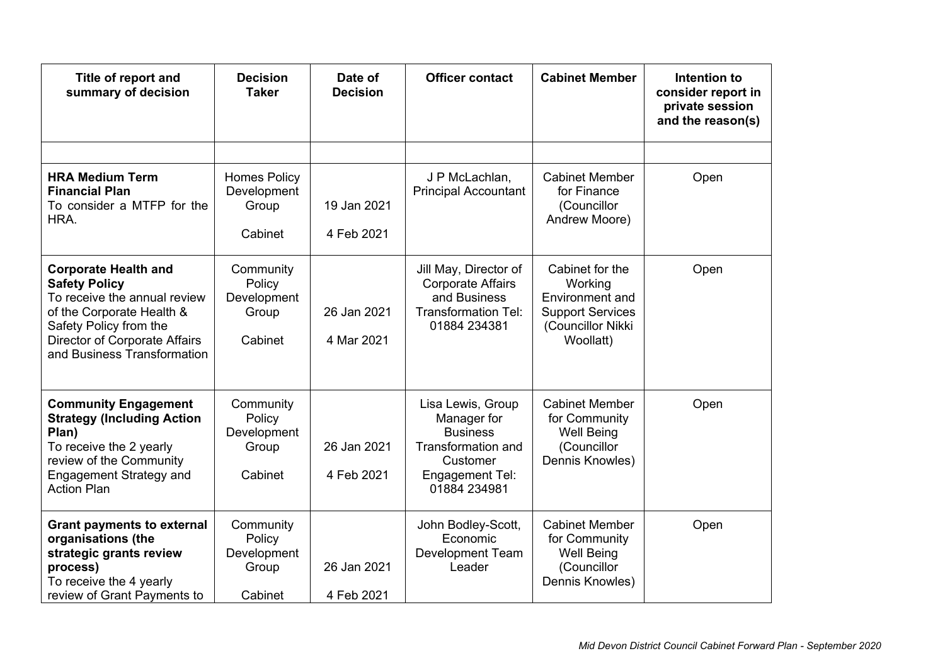| Title of report and<br>summary of decision                                                                                                                                                                 | <b>Decision</b><br><b>Taker</b>                        | Date of<br><b>Decision</b> | <b>Officer contact</b>                                                                                                   | <b>Cabinet Member</b>                                                                                      | Intention to<br>consider report in<br>private session<br>and the reason(s) |
|------------------------------------------------------------------------------------------------------------------------------------------------------------------------------------------------------------|--------------------------------------------------------|----------------------------|--------------------------------------------------------------------------------------------------------------------------|------------------------------------------------------------------------------------------------------------|----------------------------------------------------------------------------|
|                                                                                                                                                                                                            |                                                        |                            |                                                                                                                          |                                                                                                            |                                                                            |
| <b>HRA Medium Term</b><br><b>Financial Plan</b><br>To consider a MTFP for the<br>HRA.                                                                                                                      | <b>Homes Policy</b><br>Development<br>Group<br>Cabinet | 19 Jan 2021<br>4 Feb 2021  | J P McLachlan,<br><b>Principal Accountant</b>                                                                            | <b>Cabinet Member</b><br>for Finance<br>(Councillor<br>Andrew Moore)                                       | Open                                                                       |
| <b>Corporate Health and</b><br><b>Safety Policy</b><br>To receive the annual review<br>of the Corporate Health &<br>Safety Policy from the<br>Director of Corporate Affairs<br>and Business Transformation | Community<br>Policy<br>Development<br>Group<br>Cabinet | 26 Jan 2021<br>4 Mar 2021  | Jill May, Director of<br><b>Corporate Affairs</b><br>and Business<br><b>Transformation Tel:</b><br>01884 234381          | Cabinet for the<br>Working<br>Environment and<br><b>Support Services</b><br>(Councillor Nikki<br>Woollatt) | Open                                                                       |
| <b>Community Engagement</b><br><b>Strategy (Including Action</b><br>Plan)<br>To receive the 2 yearly<br>review of the Community<br><b>Engagement Strategy and</b><br><b>Action Plan</b>                    | Community<br>Policy<br>Development<br>Group<br>Cabinet | 26 Jan 2021<br>4 Feb 2021  | Lisa Lewis, Group<br>Manager for<br><b>Business</b><br>Transformation and<br>Customer<br>Engagement Tel:<br>01884 234981 | <b>Cabinet Member</b><br>for Community<br><b>Well Being</b><br>(Councillor<br>Dennis Knowles)              | Open                                                                       |
| <b>Grant payments to external</b><br>organisations (the<br>strategic grants review<br>process)<br>To receive the 4 yearly<br>review of Grant Payments to                                                   | Community<br>Policy<br>Development<br>Group<br>Cabinet | 26 Jan 2021<br>4 Feb 2021  | John Bodley-Scott,<br>Economic<br><b>Development Team</b><br>Leader                                                      | <b>Cabinet Member</b><br>for Community<br><b>Well Being</b><br>(Councillor<br>Dennis Knowles)              | Open                                                                       |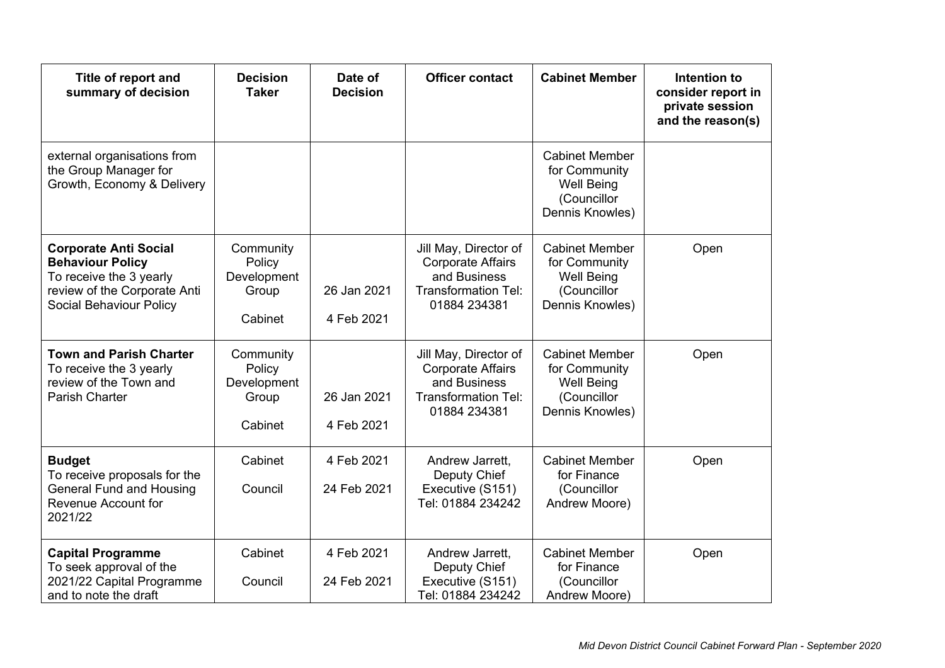| Title of report and<br>summary of decision                                                                                                    | <b>Decision</b><br><b>Taker</b>                        | Date of<br><b>Decision</b> | <b>Officer contact</b>                                                                                          | <b>Cabinet Member</b>                                                                         | Intention to<br>consider report in<br>private session<br>and the reason(s) |
|-----------------------------------------------------------------------------------------------------------------------------------------------|--------------------------------------------------------|----------------------------|-----------------------------------------------------------------------------------------------------------------|-----------------------------------------------------------------------------------------------|----------------------------------------------------------------------------|
| external organisations from<br>the Group Manager for<br>Growth, Economy & Delivery                                                            |                                                        |                            |                                                                                                                 | <b>Cabinet Member</b><br>for Community<br><b>Well Being</b><br>(Councillor<br>Dennis Knowles) |                                                                            |
| <b>Corporate Anti Social</b><br><b>Behaviour Policy</b><br>To receive the 3 yearly<br>review of the Corporate Anti<br>Social Behaviour Policy | Community<br>Policy<br>Development<br>Group<br>Cabinet | 26 Jan 2021<br>4 Feb 2021  | Jill May, Director of<br><b>Corporate Affairs</b><br>and Business<br><b>Transformation Tel:</b><br>01884 234381 | <b>Cabinet Member</b><br>for Community<br><b>Well Being</b><br>(Councillor<br>Dennis Knowles) | Open                                                                       |
| <b>Town and Parish Charter</b><br>To receive the 3 yearly<br>review of the Town and<br>Parish Charter                                         | Community<br>Policy<br>Development<br>Group<br>Cabinet | 26 Jan 2021<br>4 Feb 2021  | Jill May, Director of<br><b>Corporate Affairs</b><br>and Business<br><b>Transformation Tel:</b><br>01884 234381 | <b>Cabinet Member</b><br>for Community<br><b>Well Being</b><br>(Councillor<br>Dennis Knowles) | Open                                                                       |
| <b>Budget</b><br>To receive proposals for the<br><b>General Fund and Housing</b><br>Revenue Account for<br>2021/22                            | Cabinet<br>Council                                     | 4 Feb 2021<br>24 Feb 2021  | Andrew Jarrett,<br>Deputy Chief<br>Executive (S151)<br>Tel: 01884 234242                                        | <b>Cabinet Member</b><br>for Finance<br>(Councillor<br>Andrew Moore)                          | Open                                                                       |
| <b>Capital Programme</b><br>To seek approval of the<br>2021/22 Capital Programme<br>and to note the draft                                     | Cabinet<br>Council                                     | 4 Feb 2021<br>24 Feb 2021  | Andrew Jarrett,<br>Deputy Chief<br>Executive (S151)<br>Tel: 01884 234242                                        | <b>Cabinet Member</b><br>for Finance<br>(Councillor<br>Andrew Moore)                          | Open                                                                       |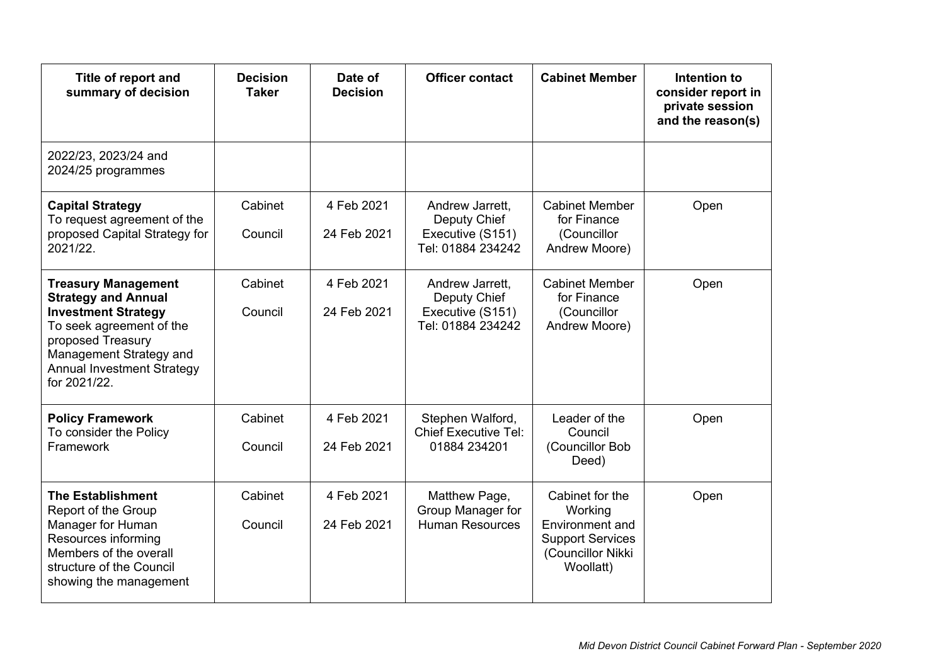| Title of report and<br>summary of decision                                                                                                                                                                              | <b>Decision</b><br><b>Taker</b> | Date of<br><b>Decision</b> | <b>Officer contact</b>                                                   | <b>Cabinet Member</b>                                                                                             | Intention to<br>consider report in<br>private session<br>and the reason(s) |
|-------------------------------------------------------------------------------------------------------------------------------------------------------------------------------------------------------------------------|---------------------------------|----------------------------|--------------------------------------------------------------------------|-------------------------------------------------------------------------------------------------------------------|----------------------------------------------------------------------------|
| 2022/23, 2023/24 and<br>2024/25 programmes                                                                                                                                                                              |                                 |                            |                                                                          |                                                                                                                   |                                                                            |
| <b>Capital Strategy</b><br>To request agreement of the<br>proposed Capital Strategy for<br>2021/22.                                                                                                                     | Cabinet<br>Council              | 4 Feb 2021<br>24 Feb 2021  | Andrew Jarrett,<br>Deputy Chief<br>Executive (S151)<br>Tel: 01884 234242 | <b>Cabinet Member</b><br>for Finance<br>(Councillor<br>Andrew Moore)                                              | Open                                                                       |
| <b>Treasury Management</b><br><b>Strategy and Annual</b><br><b>Investment Strategy</b><br>To seek agreement of the<br>proposed Treasury<br>Management Strategy and<br><b>Annual Investment Strategy</b><br>for 2021/22. | Cabinet<br>Council              | 4 Feb 2021<br>24 Feb 2021  | Andrew Jarrett,<br>Deputy Chief<br>Executive (S151)<br>Tel: 01884 234242 | <b>Cabinet Member</b><br>for Finance<br>(Councillor<br>Andrew Moore)                                              | Open                                                                       |
| <b>Policy Framework</b><br>To consider the Policy<br>Framework                                                                                                                                                          | Cabinet<br>Council              | 4 Feb 2021<br>24 Feb 2021  | Stephen Walford,<br><b>Chief Executive Tel:</b><br>01884 234201          | Leader of the<br>Council<br>(Councillor Bob<br>Deed)                                                              | Open                                                                       |
| <b>The Establishment</b><br>Report of the Group<br>Manager for Human<br>Resources informing<br>Members of the overall<br>structure of the Council<br>showing the management                                             | Cabinet<br>Council              | 4 Feb 2021<br>24 Feb 2021  | Matthew Page,<br>Group Manager for<br><b>Human Resources</b>             | Cabinet for the<br>Working<br><b>Environment and</b><br><b>Support Services</b><br>(Councillor Nikki<br>Woollatt) | Open                                                                       |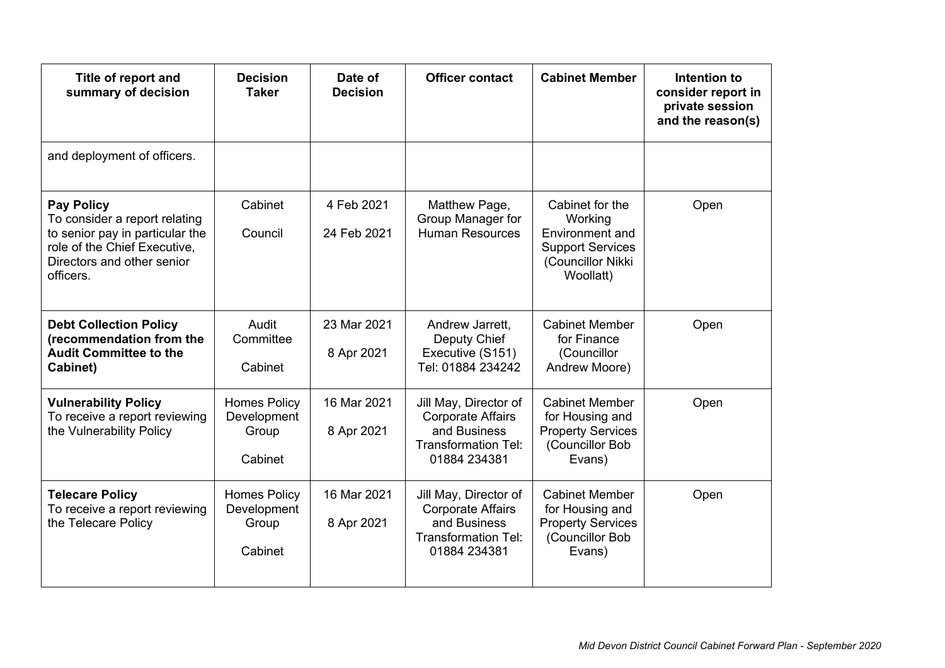| Title of report and<br>summary of decision                                                                                                                       | <b>Decision</b><br><b>Taker</b>                        | Date of<br><b>Decision</b> | <b>Officer contact</b>                                                                                          | <b>Cabinet Member</b>                                                                                      | Intention to<br>consider report in<br>private session<br>and the reason(s) |
|------------------------------------------------------------------------------------------------------------------------------------------------------------------|--------------------------------------------------------|----------------------------|-----------------------------------------------------------------------------------------------------------------|------------------------------------------------------------------------------------------------------------|----------------------------------------------------------------------------|
| and deployment of officers.                                                                                                                                      |                                                        |                            |                                                                                                                 |                                                                                                            |                                                                            |
| <b>Pay Policy</b><br>To consider a report relating<br>to senior pay in particular the<br>role of the Chief Executive,<br>Directors and other senior<br>officers. | Cabinet<br>Council                                     | 4 Feb 2021<br>24 Feb 2021  | Matthew Page,<br>Group Manager for<br><b>Human Resources</b>                                                    | Cabinet for the<br>Working<br>Environment and<br><b>Support Services</b><br>(Councillor Nikki<br>Woollatt) | Open                                                                       |
| <b>Debt Collection Policy</b><br>(recommendation from the<br><b>Audit Committee to the</b><br>Cabinet)                                                           | Audit<br>Committee<br>Cabinet                          | 23 Mar 2021<br>8 Apr 2021  | Andrew Jarrett,<br>Deputy Chief<br>Executive (S151)<br>Tel: 01884 234242                                        | <b>Cabinet Member</b><br>for Finance<br>(Councillor<br>Andrew Moore)                                       | Open                                                                       |
| <b>Vulnerability Policy</b><br>To receive a report reviewing<br>the Vulnerability Policy                                                                         | <b>Homes Policy</b><br>Development<br>Group<br>Cabinet | 16 Mar 2021<br>8 Apr 2021  | Jill May, Director of<br><b>Corporate Affairs</b><br>and Business<br><b>Transformation Tel:</b><br>01884 234381 | <b>Cabinet Member</b><br>for Housing and<br><b>Property Services</b><br>(Councillor Bob<br>Evans)          | Open                                                                       |
| <b>Telecare Policy</b><br>To receive a report reviewing<br>the Telecare Policy                                                                                   | <b>Homes Policy</b><br>Development<br>Group<br>Cabinet | 16 Mar 2021<br>8 Apr 2021  | Jill May, Director of<br><b>Corporate Affairs</b><br>and Business<br><b>Transformation Tel:</b><br>01884 234381 | <b>Cabinet Member</b><br>for Housing and<br><b>Property Services</b><br>(Councillor Bob<br>Evans)          | Open                                                                       |